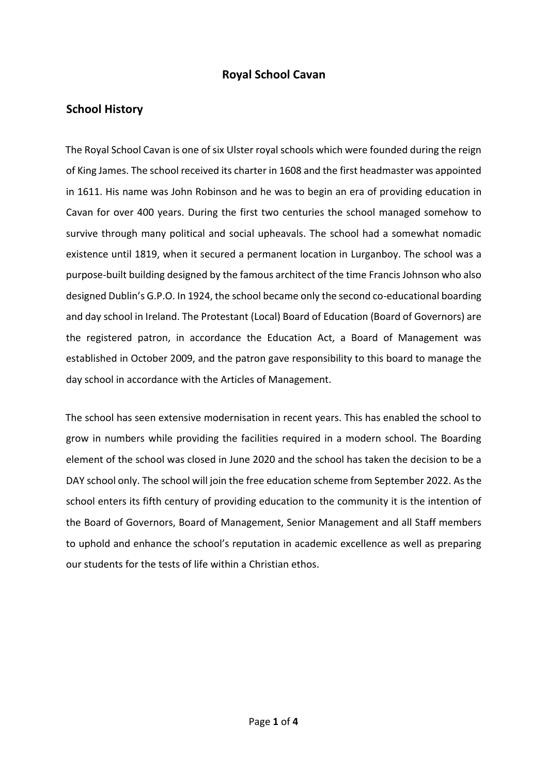## **Royal School Cavan**

### **School History**

The Royal School Cavan is one of six Ulster royal schools which were founded during the reign of King James. The school received its charter in 1608 and the first headmaster was appointed in 1611. His name was John Robinson and he was to begin an era of providing education in Cavan for over 400 years. During the first two centuries the school managed somehow to survive through many political and social upheavals. The school had a somewhat nomadic existence until 1819, when it secured a permanent location in Lurganboy. The school was a purpose-built building designed by the famous architect of the time Francis Johnson who also designed Dublin's G.P.O. In 1924, the school became only the second co-educational boarding and day school in Ireland. The Protestant (Local) Board of Education (Board of Governors) are the registered patron, in accordance the Education Act, a Board of Management was established in October 2009, and the patron gave responsibility to this board to manage the day school in accordance with the Articles of Management.

The school has seen extensive modernisation in recent years. This has enabled the school to grow in numbers while providing the facilities required in a modern school. The Boarding element of the school was closed in June 2020 and the school has taken the decision to be a DAY school only. The school will join the free education scheme from September 2022. As the school enters its fifth century of providing education to the community it is the intention of the Board of Governors, Board of Management, Senior Management and all Staff members to uphold and enhance the school's reputation in academic excellence as well as preparing our students for the tests of life within a Christian ethos.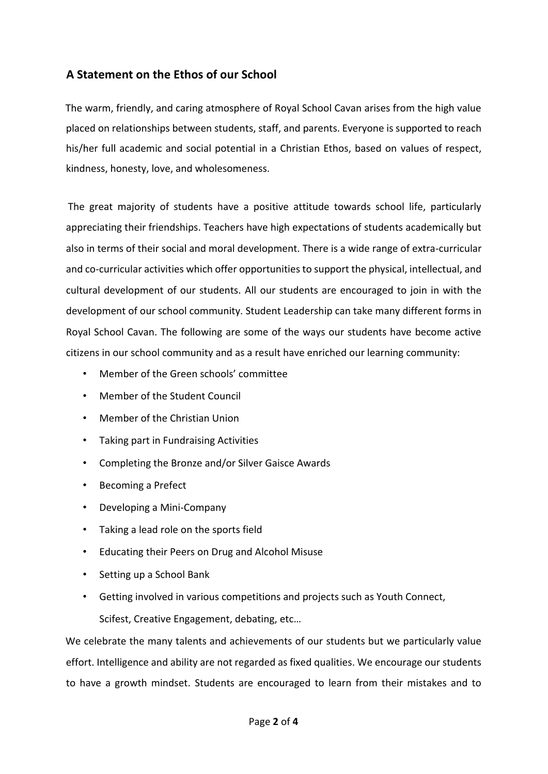# **A Statement on the Ethos of our School**

The warm, friendly, and caring atmosphere of Royal School Cavan arises from the high value placed on relationships between students, staff, and parents. Everyone is supported to reach his/her full academic and social potential in a Christian Ethos, based on values of respect, kindness, honesty, love, and wholesomeness.

The great majority of students have a positive attitude towards school life, particularly appreciating their friendships. Teachers have high expectations of students academically but also in terms of their social and moral development. There is a wide range of extra-curricular and co-curricular activities which offer opportunities to support the physical, intellectual, and cultural development of our students. All our students are encouraged to join in with the development of our school community. Student Leadership can take many different forms in Royal School Cavan. The following are some of the ways our students have become active citizens in our school community and as a result have enriched our learning community:

- Member of the Green schools' committee
- Member of the Student Council
- Member of the Christian Union
- Taking part in Fundraising Activities
- Completing the Bronze and/or Silver Gaisce Awards
- Becoming a Prefect
- Developing a Mini-Company
- Taking a lead role on the sports field
- Educating their Peers on Drug and Alcohol Misuse
- Setting up a School Bank
- Getting involved in various competitions and projects such as Youth Connect,

Scifest, Creative Engagement, debating, etc…

We celebrate the many talents and achievements of our students but we particularly value effort. Intelligence and ability are not regarded as fixed qualities. We encourage our students to have a growth mindset. Students are encouraged to learn from their mistakes and to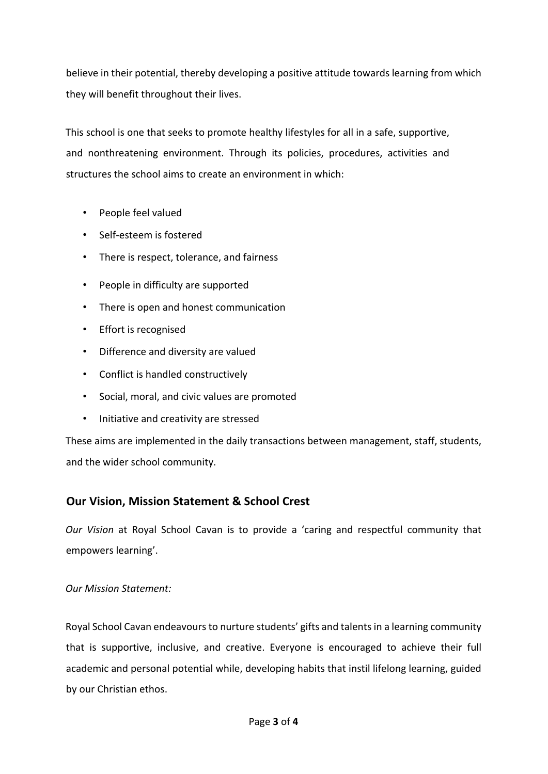believe in their potential, thereby developing a positive attitude towards learning from which they will benefit throughout their lives.

This school is one that seeks to promote healthy lifestyles for all in a safe, supportive, and nonthreatening environment. Through its policies, procedures, activities and structures the school aims to create an environment in which:

- People feel valued
- Self-esteem is fostered
- There is respect, tolerance, and fairness
- People in difficulty are supported
- There is open and honest communication
- Effort is recognised
- Difference and diversity are valued
- Conflict is handled constructively
- Social, moral, and civic values are promoted
- Initiative and creativity are stressed

These aims are implemented in the daily transactions between management, staff, students, and the wider school community.

### **Our Vision, Mission Statement & School Crest**

*Our Vision* at Royal School Cavan is to provide a 'caring and respectful community that empowers learning'.

#### *Our Mission Statement:*

Royal School Cavan endeavours to nurture students' gifts and talents in a learning community that is supportive, inclusive, and creative. Everyone is encouraged to achieve their full academic and personal potential while, developing habits that instil lifelong learning, guided by our Christian ethos.